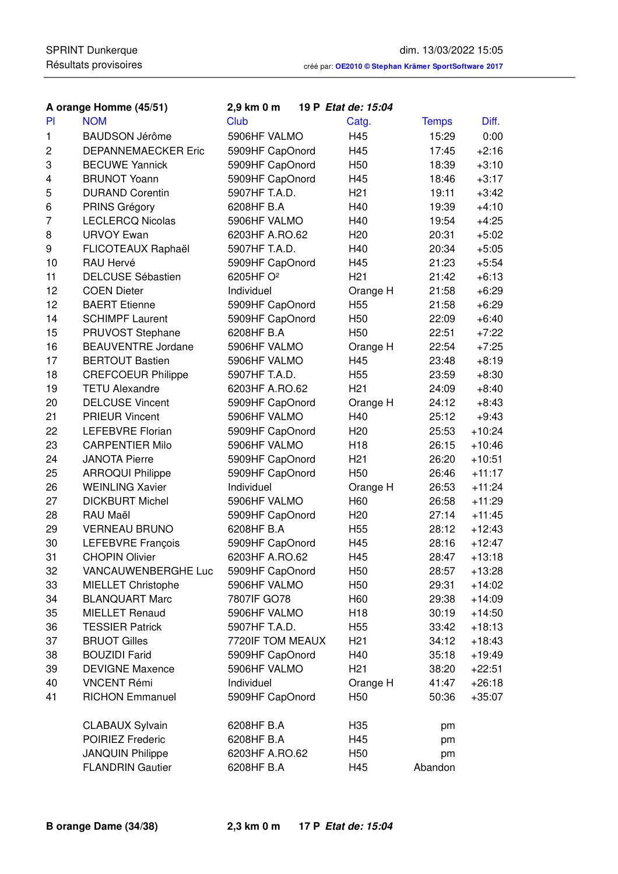|                | A orange Homme (45/51)     | 2,9 km 0 m            | 19 P Etat de: 15:04 |              |          |
|----------------|----------------------------|-----------------------|---------------------|--------------|----------|
| <b>PI</b>      | <b>NOM</b>                 | Club                  | Catg.               | <b>Temps</b> | Diff.    |
| 1              | <b>BAUDSON Jérôme</b>      | 5906HF VALMO          | H45                 | 15:29        | 0:00     |
| $\overline{c}$ | <b>DEPANNEMAECKER Eric</b> | 5909HF CapOnord       | H45                 | 17:45        | $+2:16$  |
| 3              | <b>BECUWE Yannick</b>      | 5909HF CapOnord       | H <sub>50</sub>     | 18:39        | $+3:10$  |
| 4              | <b>BRUNOT Yoann</b>        | 5909HF CapOnord       | H45                 | 18:46        | $+3:17$  |
| 5              | <b>DURAND Corentin</b>     | 5907HF T.A.D.         | H <sub>21</sub>     | 19:11        | $+3:42$  |
| 6              | PRINS Grégory              | 6208HF B.A            | H40                 | 19:39        | $+4:10$  |
| $\overline{7}$ | <b>LECLERCQ Nicolas</b>    | 5906HF VALMO          | H40                 | 19:54        | $+4:25$  |
| 8              | <b>URVOY Ewan</b>          | 6203HF A.RO.62        | H <sub>20</sub>     | 20:31        | $+5:02$  |
| 9              | FLICOTEAUX Raphaël         | 5907HF T.A.D.         | H40                 | 20:34        | $+5:05$  |
| 10             | RAU Hervé                  | 5909HF CapOnord       | H45                 | 21:23        | $+5:54$  |
| 11             | <b>DELCUSE Sébastien</b>   | 6205HF O <sup>2</sup> | H <sub>21</sub>     | 21:42        | $+6:13$  |
| 12             | <b>COEN Dieter</b>         | Individuel            | Orange H            | 21:58        | $+6:29$  |
| 12             | <b>BAERT</b> Etienne       | 5909HF CapOnord       | H <sub>55</sub>     | 21:58        | $+6:29$  |
| 14             | <b>SCHIMPF Laurent</b>     | 5909HF CapOnord       | H <sub>50</sub>     | 22:09        | $+6:40$  |
| 15             | PRUVOST Stephane           | 6208HF B.A            | H <sub>50</sub>     | 22:51        | $+7:22$  |
| 16             | <b>BEAUVENTRE Jordane</b>  | 5906HF VALMO          | Orange H            | 22:54        | $+7:25$  |
| 17             | <b>BERTOUT Bastien</b>     | 5906HF VALMO          | H45                 | 23:48        | $+8:19$  |
| 18             | <b>CREFCOEUR Philippe</b>  | 5907HF T.A.D.         | H <sub>55</sub>     | 23:59        | $+8:30$  |
| 19             | <b>TETU Alexandre</b>      | 6203HF A.RO.62        | H <sub>21</sub>     | 24:09        | $+8:40$  |
| 20             | <b>DELCUSE Vincent</b>     | 5909HF CapOnord       | Orange H            | 24:12        | $+8:43$  |
| 21             | <b>PRIEUR Vincent</b>      | 5906HF VALMO          | H40                 | 25:12        | $+9:43$  |
| 22             | <b>LEFEBVRE Florian</b>    | 5909HF CapOnord       | H <sub>20</sub>     | 25:53        | $+10:24$ |
| 23             | <b>CARPENTIER Milo</b>     | 5906HF VALMO          | H <sub>18</sub>     | 26:15        | $+10:46$ |
| 24             | <b>JANOTA Pierre</b>       | 5909HF CapOnord       | H <sub>21</sub>     | 26:20        | $+10:51$ |
| 25             | <b>ARROQUI Philippe</b>    | 5909HF CapOnord       | H <sub>50</sub>     | 26:46        | $+11:17$ |
| 26             | <b>WEINLING Xavier</b>     | Individuel            | Orange H            | 26:53        | $+11:24$ |
| 27             | <b>DICKBURT Michel</b>     | 5906HF VALMO          | H60                 | 26:58        | $+11:29$ |
| 28             | RAU Maël                   | 5909HF CapOnord       | H <sub>20</sub>     | 27:14        | $+11:45$ |
| 29             | <b>VERNEAU BRUNO</b>       | 6208HF B.A            | H <sub>55</sub>     | 28:12        | $+12:43$ |
| 30             | LEFEBVRE François          | 5909HF CapOnord       | H45                 | 28:16        | $+12:47$ |
| 31             | <b>CHOPIN Olivier</b>      | 6203HF A.RO.62        | H45                 | 28:47        | $+13:18$ |
| 32             | VANCAUWENBERGHE Luc        | 5909HF CapOnord       | H <sub>50</sub>     | 28:57        | $+13:28$ |
| 33             | MIELLET Christophe         | 5906HF VALMO          | H <sub>50</sub>     | 29:31        | $+14:02$ |
| 34             | <b>BLANQUART Marc</b>      | 7807IF GO78           | H60                 | 29:38        | $+14:09$ |
| 35             | <b>MIELLET Renaud</b>      | 5906HF VALMO          | H <sub>18</sub>     | 30:19        | $+14:50$ |
| 36             | <b>TESSIER Patrick</b>     | 5907HF T.A.D.         | H <sub>55</sub>     | 33:42        | $+18:13$ |
| 37             | <b>BRUOT Gilles</b>        | 7720IF TOM MEAUX      | H <sub>21</sub>     | 34:12        | $+18:43$ |
| 38             | <b>BOUZIDI Farid</b>       | 5909HF CapOnord       | H40                 | 35:18        | $+19:49$ |
| 39             | <b>DEVIGNE Maxence</b>     | 5906HF VALMO          | H <sub>21</sub>     | 38:20        | $+22:51$ |
| 40             | <b>VNCENT Rémi</b>         | Individuel            | Orange H            | 41:47        | $+26:18$ |
| 41             | <b>RICHON Emmanuel</b>     | 5909HF CapOnord       | H <sub>50</sub>     | 50:36        | $+35:07$ |
|                | <b>CLABAUX Sylvain</b>     | 6208HF B.A            | H <sub>35</sub>     | pm           |          |
|                | POIRIEZ Frederic           | 6208HF B.A            | H45                 | pm           |          |
|                | <b>JANQUIN Philippe</b>    | 6203HF A.RO.62        | H50                 | pm           |          |
|                | <b>FLANDRIN Gautier</b>    | 6208HF B.A            | H45                 | Abandon      |          |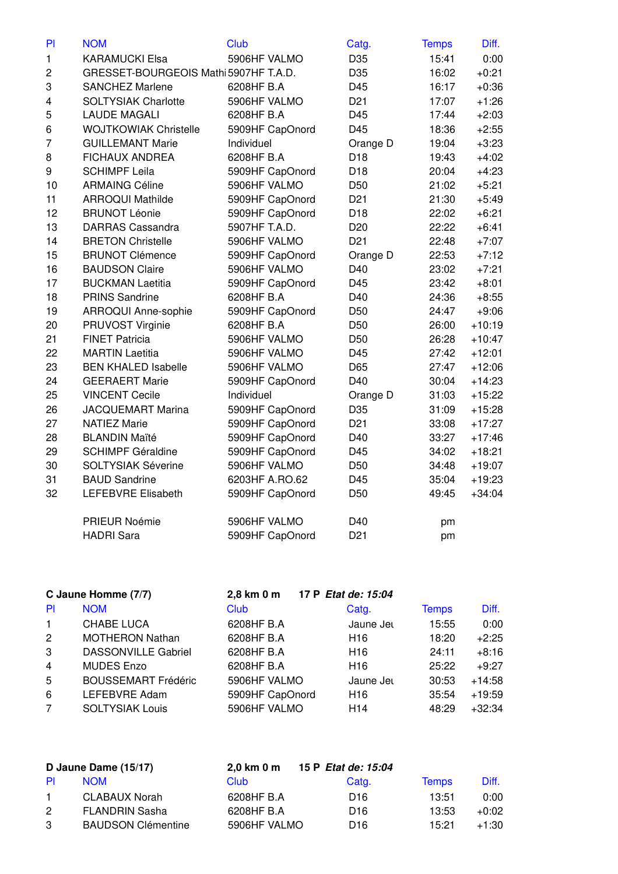| PI                      | <b>NOM</b>                            | <b>Club</b>     | Catg.           | <b>Temps</b> | Diff.    |
|-------------------------|---------------------------------------|-----------------|-----------------|--------------|----------|
| $\mathbf{1}$            | <b>KARAMUCKI Elsa</b>                 | 5906HF VALMO    | D35             | 15:41        | 0:00     |
| $\overline{\mathbf{c}}$ | GRESSET-BOURGEOIS Mathi 5907HF T.A.D. |                 | D35             | 16:02        | $+0:21$  |
| 3                       | <b>SANCHEZ Marlene</b>                | 6208HF B.A      | D45             | 16:17        | $+0:36$  |
| 4                       | <b>SOLTYSIAK Charlotte</b>            | 5906HF VALMO    | D <sub>21</sub> | 17:07        | $+1:26$  |
| 5                       | <b>LAUDE MAGALI</b>                   | 6208HF B.A      | D45             | 17:44        | $+2:03$  |
| 6                       | <b>WOJTKOWIAK Christelle</b>          | 5909HF CapOnord | D45             | 18:36        | $+2:55$  |
| $\overline{7}$          | <b>GUILLEMANT Marie</b>               | Individuel      | Orange D        | 19:04        | $+3:23$  |
| 8                       | <b>FICHAUX ANDREA</b>                 | 6208HF B.A      | D <sub>18</sub> | 19:43        | $+4:02$  |
| 9                       | <b>SCHIMPF Leila</b>                  | 5909HF CapOnord | D <sub>18</sub> | 20:04        | $+4:23$  |
| 10                      | <b>ARMAING Céline</b>                 | 5906HF VALMO    | D <sub>50</sub> | 21:02        | $+5:21$  |
| 11                      | <b>ARROQUI Mathilde</b>               | 5909HF CapOnord | D <sub>21</sub> | 21:30        | $+5:49$  |
| 12                      | <b>BRUNOT Léonie</b>                  | 5909HF CapOnord | D <sub>18</sub> | 22:02        | $+6:21$  |
| 13                      | <b>DARRAS Cassandra</b>               | 5907HF T.A.D.   | D <sub>20</sub> | 22:22        | $+6:41$  |
| 14                      | <b>BRETON Christelle</b>              | 5906HF VALMO    | D <sub>21</sub> | 22:48        | $+7:07$  |
| 15                      | <b>BRUNOT Clémence</b>                | 5909HF CapOnord | Orange D        | 22:53        | $+7:12$  |
| 16                      | <b>BAUDSON Claire</b>                 | 5906HF VALMO    | D40             | 23:02        | $+7:21$  |
| 17                      | <b>BUCKMAN Laetitia</b>               | 5909HF CapOnord | D45             | 23:42        | $+8:01$  |
| 18                      | <b>PRINS Sandrine</b>                 | 6208HF B.A      | D40             | 24:36        | $+8:55$  |
| 19                      | ARROQUI Anne-sophie                   | 5909HF CapOnord | D <sub>50</sub> | 24:47        | $+9:06$  |
| 20                      | PRUVOST Virginie                      | 6208HF B.A      | D <sub>50</sub> | 26:00        | $+10:19$ |
| 21                      | <b>FINET Patricia</b>                 | 5906HF VALMO    | D <sub>50</sub> | 26:28        | $+10:47$ |
| 22                      | <b>MARTIN Laetitia</b>                | 5906HF VALMO    | D45             | 27:42        | $+12:01$ |
| 23                      | <b>BEN KHALED Isabelle</b>            | 5906HF VALMO    | D65             | 27:47        | $+12:06$ |
| 24                      | <b>GEERAERT Marie</b>                 | 5909HF CapOnord | D40             | 30:04        | $+14:23$ |
| 25                      | <b>VINCENT Cecile</b>                 | Individuel      | Orange D        | 31:03        | $+15:22$ |
| 26                      | <b>JACQUEMART Marina</b>              | 5909HF CapOnord | D35             | 31:09        | $+15:28$ |
| 27                      | <b>NATIEZ Marie</b>                   | 5909HF CapOnord | D <sub>21</sub> | 33:08        | $+17:27$ |
| 28                      | <b>BLANDIN Maïté</b>                  | 5909HF CapOnord | D40             | 33:27        | $+17:46$ |
| 29                      | <b>SCHIMPF Géraldine</b>              | 5909HF CapOnord | D45             | 34:02        | $+18:21$ |
| 30                      | <b>SOLTYSIAK Séverine</b>             | 5906HF VALMO    | D <sub>50</sub> | 34:48        | $+19:07$ |
| 31                      | <b>BAUD Sandrine</b>                  | 6203HF A.RO.62  | D45             | 35:04        | $+19:23$ |
| 32                      | <b>LEFEBVRE Elisabeth</b>             | 5909HF CapOnord | D <sub>50</sub> | 49:45        | $+34:04$ |
|                         | PRIEUR Noémie                         | 5906HF VALMO    | D40             | pm           |          |
|                         | <b>HADRI</b> Sara                     | 5909HF CapOnord | D <sub>21</sub> | pm           |          |

| C Jaune Homme (7/7)  |                            | 2,8 km 0 m      | 17 P Etat de: 15:04 |              |          |
|----------------------|----------------------------|-----------------|---------------------|--------------|----------|
| <b>PI</b>            | <b>NOM</b>                 | Club            | Catg.               | <b>Temps</b> | Diff.    |
| $\mathbf{1}$         | CHABE LUCA                 | 6208HF B.A      | Jaune Jet           | 15:55        | 0:00     |
| $\mathbf{2}^{\circ}$ | <b>MOTHERON Nathan</b>     | 6208HF B.A      | H <sub>16</sub>     | 18:20        | $+2:25$  |
| 3                    | <b>DASSONVILLE Gabriel</b> | 6208HF B.A      | H <sub>16</sub>     | 24:11        | $+8:16$  |
| $\overline{4}$       | <b>MUDES Enzo</b>          | 6208HF B.A      | H <sub>16</sub>     | 25:22        | $+9:27$  |
| 5                    | <b>BOUSSEMART Frédéric</b> | 5906HF VALMO    | Jaune Jet           | 30:53        | $+14:58$ |
| 6                    | LEFEBVRE Adam              | 5909HF CapOnord | H <sub>16</sub>     | 35:54        | $+19:59$ |
| $\overline{7}$       | <b>SOLTYSIAK Louis</b>     | 5906HF VALMO    | H <sub>14</sub>     | 48:29        | $+32:34$ |

| D Jaune Dame (15/17) |                           | 2.0 km 0 m   | 15 P Etat de: 15:04 |              |         |
|----------------------|---------------------------|--------------|---------------------|--------------|---------|
| <b>PI</b>            | <b>NOM</b>                | <b>Club</b>  | Catg.               | <b>Temps</b> | Diff.   |
| $\mathbf{1}$         | CLABAUX Norah             | 6208HF B.A   | D <sub>16</sub>     | 13:51        | 0:00    |
| $\mathbf{2}$         | <b>FLANDRIN Sasha</b>     | 6208HF B.A   | D <sub>16</sub>     | 13:53        | $+0:02$ |
| 3                    | <b>BAUDSON Clémentine</b> | 5906HF VALMO | D <sub>16</sub>     | 15.21        | $+1:30$ |